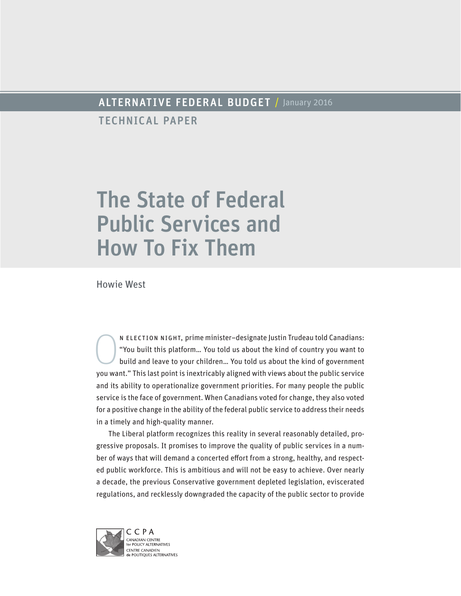## ALTERNATIVE FEDERAL BUDGET / January 2016

TECHNICAL PAPER

# The State of Federal Public Services and How To Fix Them

Howie West

N ELECTION NIGHT, prime minister–designate Justin Trudeau told Canadians:<br>
"You built this platform... You told us about the kind of country you want to<br>
build and leave to your children... You told us about the kind of go "You built this platform… You told us about the kind of country you want to build and leave to your children… You told us about the kind of government you want." This last point is inextricably aligned with views about the public service and its ability to operationalize government priorities. For many people the public service is the face of government. When Canadians voted for change, they also voted for a positive change in the ability of the federal public service to address their needs in a timely and high-quality manner.

The Liberal platform recognizes this reality in several reasonably detailed, progressive proposals. It promises to improve the quality of public services in a number of ways that will demand a concerted effort from a strong, healthy, and respected public workforce. This is ambitious and will not be easy to achieve. Over nearly a decade, the previous Conservative government depleted legislation, eviscerated regulations, and recklessly downgraded the capacity of the public sector to provide

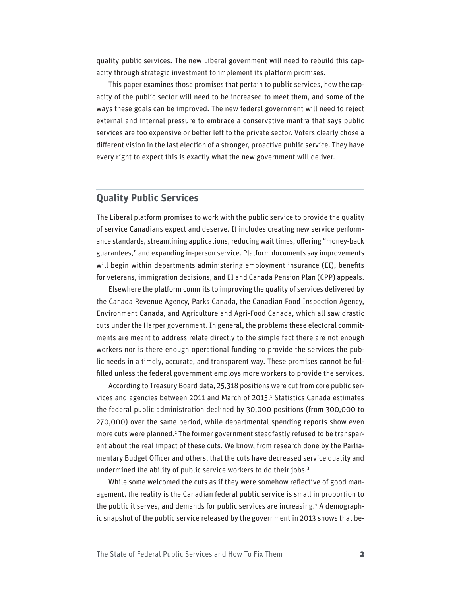quality public services. The new Liberal government will need to rebuild this capacity through strategic investment to implement its platform promises.

This paper examines those promises that pertain to public services, how the capacity of the public sector will need to be increased to meet them, and some of the ways these goals can be improved. The new federal government will need to reject external and internal pressure to embrace a conservative mantra that says public services are too expensive or better left to the private sector. Voters clearly chose a different vision in the last election of a stronger, proactive public service. They have every right to expect this is exactly what the new government will deliver.

## **Quality Public Services**

The Liberal platform promises to work with the public service to provide the quality of service Canadians expect and deserve. It includes creating new service performance standards, streamlining applications, reducing wait times, offering "money-back guarantees," and expanding in-person service. Platform documents say improvements will begin within departments administering employment insurance (EI), benefits for veterans, immigration decisions, and EI and Canada Pension Plan (CPP) appeals.

Elsewhere the platform commits to improving the quality of services delivered by the Canada Revenue Agency, Parks Canada, the Canadian Food Inspection Agency, Environment Canada, and Agriculture and Agri-Food Canada, which all saw drastic cuts under the Harper government. In general, the problems these electoral commitments are meant to address relate directly to the simple fact there are not enough workers nor is there enough operational funding to provide the services the public needs in a timely, accurate, and transparent way. These promises cannot be fulfilled unless the federal government employs more workers to provide the services.

According to Treasury Board data, 25,318 positions were cut from core public services and agencies between 2011 and March of 2015.<sup>1</sup> Statistics Canada estimates the federal public administration declined by 30,000 positions (from 300,000 to 270,000) over the same period, while departmental spending reports show even more cuts were planned.<sup>2</sup> The former government steadfastly refused to be transparent about the real impact of these cuts. We know, from research done by the Parliamentary Budget Officer and others, that the cuts have decreased service quality and undermined the ability of public service workers to do their jobs.<sup>3</sup>

While some welcomed the cuts as if they were somehow reflective of good management, the reality is the Canadian federal public service is small in proportion to the public it serves, and demands for public services are increasing.4 A demographic snapshot of the public service released by the government in 2013 shows that be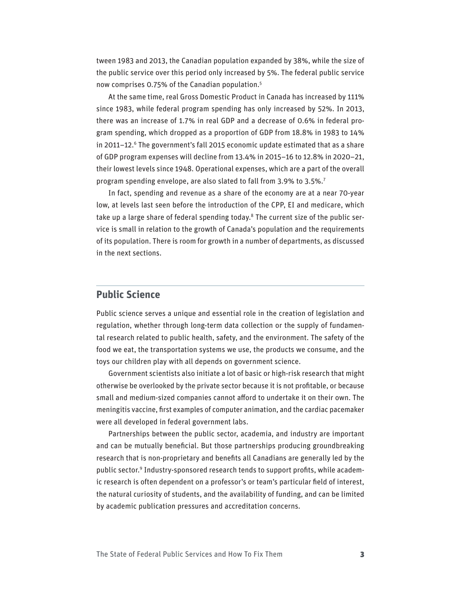tween 1983 and 2013, the Canadian population expanded by 38%, while the size of the public service over this period only increased by 5%. The federal public service now comprises 0.75% of the Canadian population.5

At the same time, real Gross Domestic Product in Canada has increased by 111% since 1983, while federal program spending has only increased by 52%. In 2013, there was an increase of 1.7% in real GDP and a decrease of 0.6% in federal program spending, which dropped as a proportion of GDP from 18.8% in 1983 to 14% in 2011–12.<sup>6</sup> The government's fall 2015 economic update estimated that as a share of GDP program expenses will decline from 13.4% in 2015–16 to 12.8% in 2020–21, their lowest levels since 1948. Operational expenses, which are a part of the overall program spending envelope, are also slated to fall from 3.9% to 3.5%.7

In fact, spending and revenue as a share of the economy are at a near 70-year low, at levels last seen before the introduction of the CPP, EI and medicare, which take up a large share of federal spending today.<sup>8</sup> The current size of the public service is small in relation to the growth of Canada's population and the requirements of its population. There is room for growth in a number of departments, as discussed in the next sections.

## **Public Science**

Public science serves a unique and essential role in the creation of legislation and regulation, whether through long-term data collection or the supply of fundamental research related to public health, safety, and the environment. The safety of the food we eat, the transportation systems we use, the products we consume, and the toys our children play with all depends on government science.

Government scientists also initiate a lot of basic or high-risk research that might otherwise be overlooked by the private sector because it is not profitable, or because small and medium-sized companies cannot afford to undertake it on their own. The meningitis vaccine, first examples of computer animation, and the cardiac pacemaker were all developed in federal government labs.

Partnerships between the public sector, academia, and industry are important and can be mutually beneficial. But those partnerships producing groundbreaking research that is non-proprietary and benefits all Canadians are generally led by the public sector.9 Industry-sponsored research tends to support profits, while academic research is often dependent on a professor's or team's particular field of interest, the natural curiosity of students, and the availability of funding, and can be limited by academic publication pressures and accreditation concerns.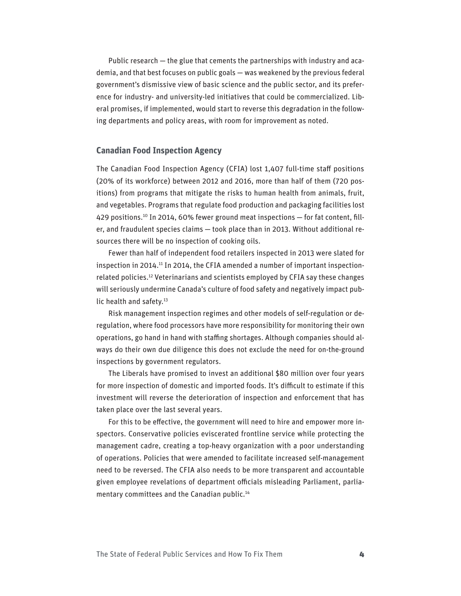Public research — the glue that cements the partnerships with industry and academia, and that best focuses on public goals — was weakened by the previous federal government's dismissive view of basic science and the public sector, and its preference for industry- and university-led initiatives that could be commercialized. Liberal promises, if implemented, would start to reverse this degradation in the following departments and policy areas, with room for improvement as noted.

#### **Canadian Food Inspection Agency**

The Canadian Food Inspection Agency (CFIA) lost 1,407 full-time staff positions (20% of its workforce) between 2012 and 2016, more than half of them (720 positions) from programs that mitigate the risks to human health from animals, fruit, and vegetables. Programs that regulate food production and packaging facilities lost 429 positions.<sup>10</sup> In 2014, 60% fewer ground meat inspections - for fat content, filler, and fraudulent species claims — took place than in 2013. Without additional resources there will be no inspection of cooking oils.

Fewer than half of independent food retailers inspected in 2013 were slated for inspection in 2014.<sup>11</sup> In 2014, the CFIA amended a number of important inspectionrelated policies.12 Veterinarians and scientists employed by CFIA say these changes will seriously undermine Canada's culture of food safety and negatively impact public health and safety.<sup>13</sup>

Risk management inspection regimes and other models of self-regulation or deregulation, where food processors have more responsibility for monitoring their own operations, go hand in hand with staffing shortages. Although companies should always do their own due diligence this does not exclude the need for on-the-ground inspections by government regulators.

The Liberals have promised to invest an additional \$80 million over four years for more inspection of domestic and imported foods. It's difficult to estimate if this investment will reverse the deterioration of inspection and enforcement that has taken place over the last several years.

For this to be effective, the government will need to hire and empower more inspectors. Conservative policies eviscerated frontline service while protecting the management cadre, creating a top-heavy organization with a poor understanding of operations. Policies that were amended to facilitate increased self-management need to be reversed. The CFIA also needs to be more transparent and accountable given employee revelations of department officials misleading Parliament, parliamentary committees and the Canadian public.<sup>14</sup>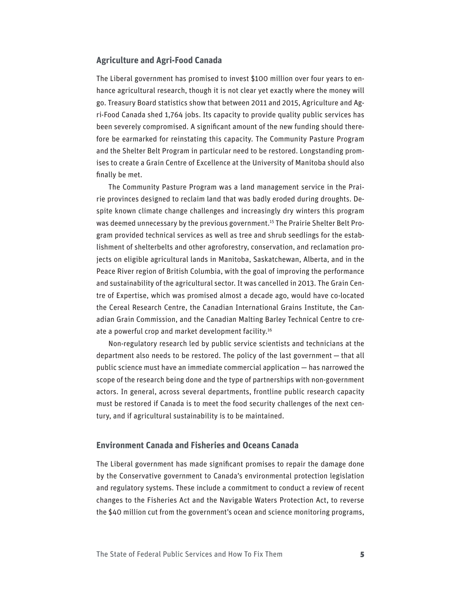#### **Agriculture and Agri-Food Canada**

The Liberal government has promised to invest \$100 million over four years to enhance agricultural research, though it is not clear yet exactly where the money will go. Treasury Board statistics show that between 2011 and 2015, Agriculture and Agri-Food Canada shed 1,764 jobs. Its capacity to provide quality public services has been severely compromised. A significant amount of the new funding should therefore be earmarked for reinstating this capacity. The Community Pasture Program and the Shelter Belt Program in particular need to be restored. Longstanding promises to create a Grain Centre of Excellence at the University of Manitoba should also finally be met.

The Community Pasture Program was a land management service in the Prairie provinces designed to reclaim land that was badly eroded during droughts. Despite known climate change challenges and increasingly dry winters this program was deemed unnecessary by the previous government.<sup>15</sup> The Prairie Shelter Belt Program provided technical services as well as tree and shrub seedlings for the establishment of shelterbelts and other agroforestry, conservation, and reclamation projects on eligible agricultural lands in Manitoba, Saskatchewan, Alberta, and in the Peace River region of British Columbia, with the goal of improving the performance and sustainability of the agricultural sector. It was cancelled in 2013. The Grain Centre of Expertise, which was promised almost a decade ago, would have co-located the Cereal Research Centre, the Canadian International Grains Institute, the Canadian Grain Commission, and the Canadian Malting Barley Technical Centre to create a powerful crop and market development facility.<sup>16</sup>

Non-regulatory research led by public service scientists and technicians at the department also needs to be restored. The policy of the last government — that all public science must have an immediate commercial application — has narrowed the scope of the research being done and the type of partnerships with non-government actors. In general, across several departments, frontline public research capacity must be restored if Canada is to meet the food security challenges of the next century, and if agricultural sustainability is to be maintained.

#### **Environment Canada and Fisheries and Oceans Canada**

The Liberal government has made significant promises to repair the damage done by the Conservative government to Canada's environmental protection legislation and regulatory systems. These include a commitment to conduct a review of recent changes to the Fisheries Act and the Navigable Waters Protection Act, to reverse the \$40 million cut from the government's ocean and science monitoring programs,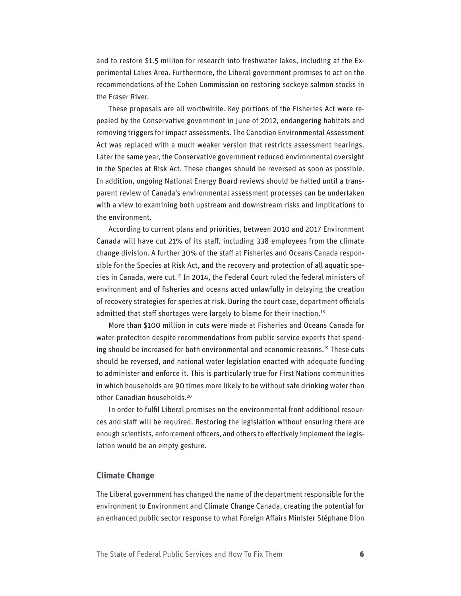and to restore \$1.5 million for research into freshwater lakes, including at the Experimental Lakes Area. Furthermore, the Liberal government promises to act on the recommendations of the Cohen Commission on restoring sockeye salmon stocks in the Fraser River.

These proposals are all worthwhile. Key portions of the Fisheries Act were repealed by the Conservative government in June of 2012, endangering habitats and removing triggers for impact assessments. The Canadian Environmental Assessment Act was replaced with a much weaker version that restricts assessment hearings. Later the same year, the Conservative government reduced environmental oversight in the Species at Risk Act. These changes should be reversed as soon as possible. In addition, ongoing National Energy Board reviews should be halted until a transparent review of Canada's environmental assessment processes can be undertaken with a view to examining both upstream and downstream risks and implications to the environment.

According to current plans and priorities, between 2010 and 2017 Environment Canada will have cut 21% of its staff, including 338 employees from the climate change division. A further 30% of the staff at Fisheries and Oceans Canada responsible for the Species at Risk Act, and the recovery and protection of all aquatic species in Canada, were cut.<sup>17</sup> In 2014, the Federal Court ruled the federal ministers of environment and of fisheries and oceans acted unlawfully in delaying the creation of recovery strategies for species at risk. During the court case, department officials admitted that staff shortages were largely to blame for their inaction.<sup>18</sup>

More than \$100 million in cuts were made at Fisheries and Oceans Canada for water protection despite recommendations from public service experts that spending should be increased for both environmental and economic reasons.19 These cuts should be reversed, and national water legislation enacted with adequate funding to administer and enforce it. This is particularly true for First Nations communities in which households are 90 times more likely to be without safe drinking water than other Canadian households.20

In order to fulfil Liberal promises on the environmental front additional resources and staff will be required. Restoring the legislation without ensuring there are enough scientists, enforcement officers, and others to effectively implement the legislation would be an empty gesture.

#### **Climate Change**

The Liberal government has changed the name of the department responsible for the environment to Environment and Climate Change Canada, creating the potential for an enhanced public sector response to what Foreign Affairs Minister Stéphane Dion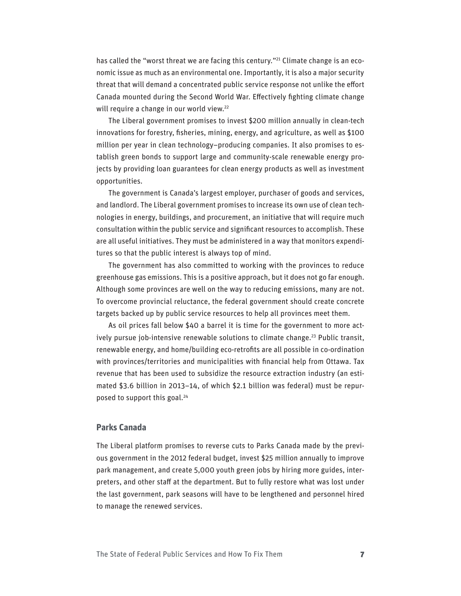has called the "worst threat we are facing this century."<sup>21</sup> Climate change is an economic issue as much as an environmental one. Importantly, it is also a major security threat that will demand a concentrated public service response not unlike the effort Canada mounted during the Second World War. Effectively fighting climate change will require a change in our world view.<sup>22</sup>

The Liberal government promises to invest \$200 million annually in clean-tech innovations for forestry, fisheries, mining, energy, and agriculture, as well as \$100 million per year in clean technology–producing companies. It also promises to establish green bonds to support large and community-scale renewable energy projects by providing loan guarantees for clean energy products as well as investment opportunities.

The government is Canada's largest employer, purchaser of goods and services, and landlord. The Liberal government promises to increase its own use of clean technologies in energy, buildings, and procurement, an initiative that will require much consultation within the public service and significant resources to accomplish. These are all useful initiatives. They must be administered in a way that monitors expenditures so that the public interest is always top of mind.

The government has also committed to working with the provinces to reduce greenhouse gas emissions. This is a positive approach, but it does not go far enough. Although some provinces are well on the way to reducing emissions, many are not. To overcome provincial reluctance, the federal government should create concrete targets backed up by public service resources to help all provinces meet them.

As oil prices fall below \$40 a barrel it is time for the government to more actively pursue job-intensive renewable solutions to climate change.<sup>23</sup> Public transit, renewable energy, and home/building eco-retrofits are all possible in co-ordination with provinces/territories and municipalities with financial help from Ottawa. Tax revenue that has been used to subsidize the resource extraction industry (an estimated \$3.6 billion in 2013–14, of which \$2.1 billion was federal) must be repurposed to support this goal.24

#### **Parks Canada**

The Liberal platform promises to reverse cuts to Parks Canada made by the previous government in the 2012 federal budget, invest \$25 million annually to improve park management, and create 5,000 youth green jobs by hiring more guides, interpreters, and other staff at the department. But to fully restore what was lost under the last government, park seasons will have to be lengthened and personnel hired to manage the renewed services.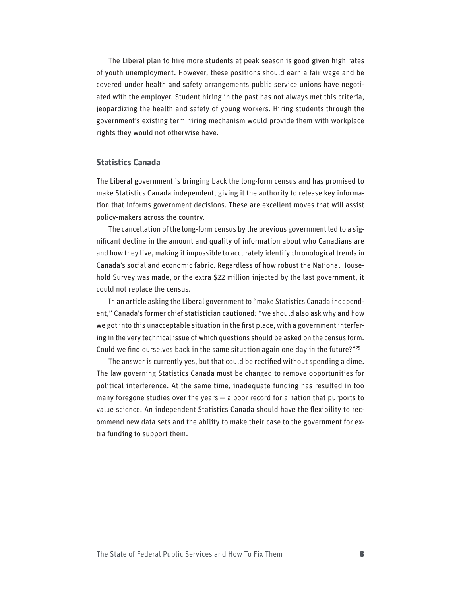The Liberal plan to hire more students at peak season is good given high rates of youth unemployment. However, these positions should earn a fair wage and be covered under health and safety arrangements public service unions have negotiated with the employer. Student hiring in the past has not always met this criteria, jeopardizing the health and safety of young workers. Hiring students through the government's existing term hiring mechanism would provide them with workplace rights they would not otherwise have.

#### **Statistics Canada**

The Liberal government is bringing back the long-form census and has promised to make Statistics Canada independent, giving it the authority to release key information that informs government decisions. These are excellent moves that will assist policy-makers across the country.

The cancellation of the long-form census by the previous government led to a significant decline in the amount and quality of information about who Canadians are and how they live, making it impossible to accurately identify chronological trends in Canada's social and economic fabric. Regardless of how robust the National Household Survey was made, or the extra \$22 million injected by the last government, it could not replace the census.

In an article asking the Liberal government to "make Statistics Canada independent," Canada's former chief statistician cautioned: "we should also ask why and how we got into this unacceptable situation in the first place, with a government interfering in the very technical issue of which questions should be asked on the census form. Could we find ourselves back in the same situation again one day in the future?"25

The answer is currently yes, but that could be rectified without spending a dime. The law governing Statistics Canada must be changed to remove opportunities for political interference. At the same time, inadequate funding has resulted in too many foregone studies over the years — a poor record for a nation that purports to value science. An independent Statistics Canada should have the flexibility to recommend new data sets and the ability to make their case to the government for extra funding to support them.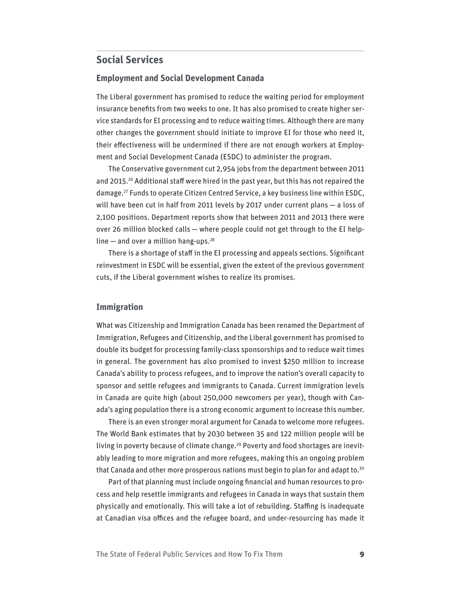## **Social Services**

#### **Employment and Social Development Canada**

The Liberal government has promised to reduce the waiting period for employment insurance benefits from two weeks to one. It has also promised to create higher service standards for EI processing and to reduce waiting times. Although there are many other changes the government should initiate to improve EI for those who need it, their effectiveness will be undermined if there are not enough workers at Employment and Social Development Canada (ESDC) to administer the program.

The Conservative government cut 2,954 jobs from the department between 2011 and 2015.<sup>26</sup> Additional staff were hired in the past year, but this has not repaired the damage.27 Funds to operate Citizen Centred Service, a key business line within ESDC, will have been cut in half from 2011 levels by 2017 under current plans — a loss of 2,100 positions. Department reports show that between 2011 and 2013 there were over 26 million blocked calls — where people could not get through to the EI helpline  $-$  and over a million hang-ups.<sup>28</sup>

There is a shortage of staff in the EI processing and appeals sections. Significant reinvestment in ESDC will be essential, given the extent of the previous government cuts, if the Liberal government wishes to realize its promises.

#### **Immigration**

What was Citizenship and Immigration Canada has been renamed the Department of Immigration, Refugees and Citizenship, and the Liberal government has promised to double its budget for processing family-class sponsorships and to reduce wait times in general. The government has also promised to invest \$250 million to increase Canada's ability to process refugees, and to improve the nation's overall capacity to sponsor and settle refugees and immigrants to Canada. Current immigration levels in Canada are quite high (about 250,000 newcomers per year), though with Canada's aging population there is a strong economic argument to increase this number.

There is an even stronger moral argument for Canada to welcome more refugees. The World Bank estimates that by 2030 between 35 and 122 million people will be living in poverty because of climate change.<sup>29</sup> Poverty and food shortages are inevitably leading to more migration and more refugees, making this an ongoing problem that Canada and other more prosperous nations must begin to plan for and adapt to.<sup>30</sup>

Part of that planning must include ongoing financial and human resources to process and help resettle immigrants and refugees in Canada in ways that sustain them physically and emotionally. This will take a lot of rebuilding. Staffing is inadequate at Canadian visa offices and the refugee board, and under-resourcing has made it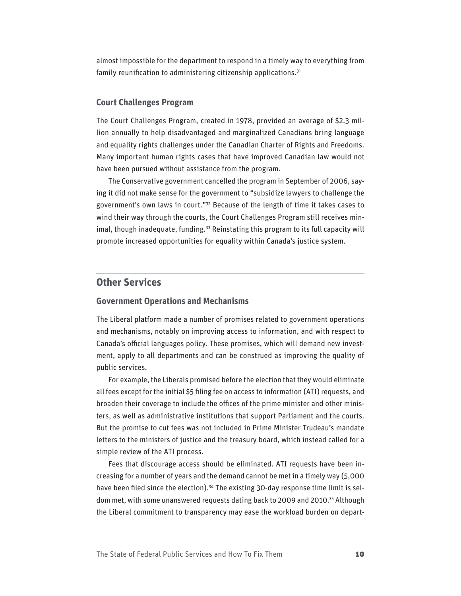almost impossible for the department to respond in a timely way to everything from family reunification to administering citizenship applications. $31$ 

#### **Court Challenges Program**

The Court Challenges Program, created in 1978, provided an average of \$2.3 million annually to help disadvantaged and marginalized Canadians bring language and equality rights challenges under the Canadian Charter of Rights and Freedoms. Many important human rights cases that have improved Canadian law would not have been pursued without assistance from the program.

The Conservative government cancelled the program in September of 2006, saying it did not make sense for the government to "subsidize lawyers to challenge the government's own laws in court."32 Because of the length of time it takes cases to wind their way through the courts, the Court Challenges Program still receives minimal, though inadequate, funding.<sup>33</sup> Reinstating this program to its full capacity will promote increased opportunities for equality within Canada's justice system.

## **Other Services**

#### **Government Operations and Mechanisms**

The Liberal platform made a number of promises related to government operations and mechanisms, notably on improving access to information, and with respect to Canada's official languages policy. These promises, which will demand new investment, apply to all departments and can be construed as improving the quality of public services.

For example, the Liberals promised before the election that they would eliminate all fees except for the initial \$5 filing fee on access to information (ATI) requests, and broaden their coverage to include the offices of the prime minister and other ministers, as well as administrative institutions that support Parliament and the courts. But the promise to cut fees was not included in Prime Minister Trudeau's mandate letters to the ministers of justice and the treasury board, which instead called for a simple review of the ATI process.

Fees that discourage access should be eliminated. ATI requests have been increasing for a number of years and the demand cannot be met in a timely way (5,000 have been filed since the election).<sup>34</sup> The existing 30-day response time limit is seldom met, with some unanswered requests dating back to 2009 and 2010.35 Although the Liberal commitment to transparency may ease the workload burden on depart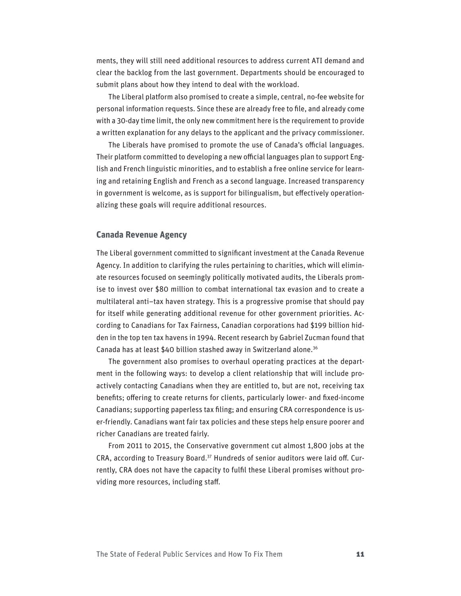ments, they will still need additional resources to address current ATI demand and clear the backlog from the last government. Departments should be encouraged to submit plans about how they intend to deal with the workload.

The Liberal platform also promised to create a simple, central, no-fee website for personal information requests. Since these are already free to file, and already come with a 30-day time limit, the only new commitment here is the requirement to provide a written explanation for any delays to the applicant and the privacy commissioner.

The Liberals have promised to promote the use of Canada's official languages. Their platform committed to developing a new official languages plan to support English and French linguistic minorities, and to establish a free online service for learning and retaining English and French as a second language. Increased transparency in government is welcome, as is support for bilingualism, but effectively operationalizing these goals will require additional resources.

#### **Canada Revenue Agency**

The Liberal government committed to significant investment at the Canada Revenue Agency. In addition to clarifying the rules pertaining to charities, which will eliminate resources focused on seemingly politically motivated audits, the Liberals promise to invest over \$80 million to combat international tax evasion and to create a multilateral anti–tax haven strategy. This is a progressive promise that should pay for itself while generating additional revenue for other government priorities. According to Canadians for Tax Fairness, Canadian corporations had \$199 billion hidden in the top ten tax havens in 1994. Recent research by Gabriel Zucman found that Canada has at least \$40 billion stashed away in Switzerland alone.36

The government also promises to overhaul operating practices at the department in the following ways: to develop a client relationship that will include proactively contacting Canadians when they are entitled to, but are not, receiving tax benefits; offering to create returns for clients, particularly lower- and fixed-income Canadians; supporting paperless tax filing; and ensuring CRA correspondence is user-friendly. Canadians want fair tax policies and these steps help ensure poorer and richer Canadians are treated fairly.

From 2011 to 2015, the Conservative government cut almost 1,800 jobs at the CRA, according to Treasury Board.37 Hundreds of senior auditors were laid off. Currently, CRA does not have the capacity to fulfil these Liberal promises without providing more resources, including staff.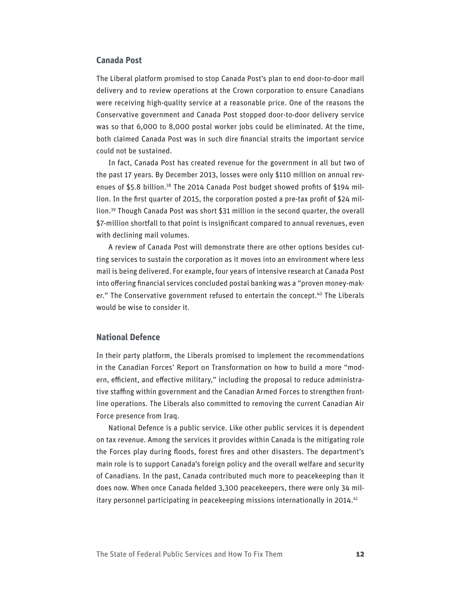#### **Canada Post**

The Liberal platform promised to stop Canada Post's plan to end door-to-door mail delivery and to review operations at the Crown corporation to ensure Canadians were receiving high-quality service at a reasonable price. One of the reasons the Conservative government and Canada Post stopped door-to-door delivery service was so that 6,000 to 8,000 postal worker jobs could be eliminated. At the time, both claimed Canada Post was in such dire financial straits the important service could not be sustained.

In fact, Canada Post has created revenue for the government in all but two of the past 17 years. By December 2013, losses were only \$110 million on annual revenues of \$5.8 billion.<sup>38</sup> The 2014 Canada Post budget showed profits of \$194 million. In the first quarter of 2015, the corporation posted a pre-tax profit of \$24 million.39 Though Canada Post was short \$31 million in the second quarter, the overall \$7-million shortfall to that point is insignificant compared to annual revenues, even with declining mail volumes.

A review of Canada Post will demonstrate there are other options besides cutting services to sustain the corporation as it moves into an environment where less mail is being delivered. For example, four years of intensive research at Canada Post into offering financial services concluded postal banking was a "proven money-maker." The Conservative government refused to entertain the concept.<sup>40</sup> The Liberals would be wise to consider it.

#### **National Defence**

In their party platform, the Liberals promised to implement the recommendations in the Canadian Forces' Report on Transformation on how to build a more "modern, efficient, and effective military," including the proposal to reduce administrative staffing within government and the Canadian Armed Forces to strengthen frontline operations. The Liberals also committed to removing the current Canadian Air Force presence from Iraq.

National Defence is a public service. Like other public services it is dependent on tax revenue. Among the services it provides within Canada is the mitigating role the Forces play during floods, forest fires and other disasters. The department's main role is to support Canada's foreign policy and the overall welfare and security of Canadians. In the past, Canada contributed much more to peacekeeping than it does now. When once Canada fielded 3,300 peacekeepers, there were only 34 military personnel participating in peacekeeping missions internationally in 2014.<sup>41</sup>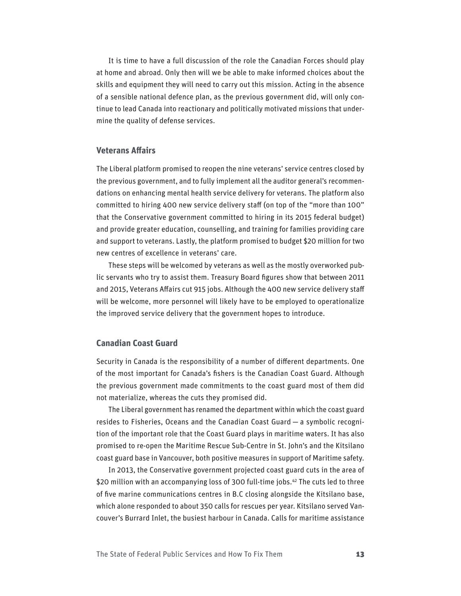It is time to have a full discussion of the role the Canadian Forces should play at home and abroad. Only then will we be able to make informed choices about the skills and equipment they will need to carry out this mission. Acting in the absence of a sensible national defence plan, as the previous government did, will only continue to lead Canada into reactionary and politically motivated missions that undermine the quality of defense services.

#### **Veterans Affairs**

The Liberal platform promised to reopen the nine veterans' service centres closed by the previous government, and to fully implement all the auditor general's recommendations on enhancing mental health service delivery for veterans. The platform also committed to hiring 400 new service delivery staff (on top of the "more than 100" that the Conservative government committed to hiring in its 2015 federal budget) and provide greater education, counselling, and training for families providing care and support to veterans. Lastly, the platform promised to budget \$20 million for two new centres of excellence in veterans' care.

These steps will be welcomed by veterans as well as the mostly overworked public servants who try to assist them. Treasury Board figures show that between 2011 and 2015, Veterans Affairs cut 915 jobs. Although the 400 new service delivery staff will be welcome, more personnel will likely have to be employed to operationalize the improved service delivery that the government hopes to introduce.

#### **Canadian Coast Guard**

Security in Canada is the responsibility of a number of different departments. One of the most important for Canada's fishers is the Canadian Coast Guard. Although the previous government made commitments to the coast guard most of them did not materialize, whereas the cuts they promised did.

The Liberal government has renamed the department within which the coast guard resides to Fisheries, Oceans and the Canadian Coast Guard — a symbolic recognition of the important role that the Coast Guard plays in maritime waters. It has also promised to re-open the Maritime Rescue Sub-Centre in St. John's and the Kitsilano coast guard base in Vancouver, both positive measures in support of Maritime safety.

In 2013, the Conservative government projected coast guard cuts in the area of \$20 million with an accompanying loss of 300 full-time jobs.<sup>42</sup> The cuts led to three of five marine communications centres in B.C closing alongside the Kitsilano base, which alone responded to about 350 calls for rescues per year. Kitsilano served Vancouver's Burrard Inlet, the busiest harbour in Canada. Calls for maritime assistance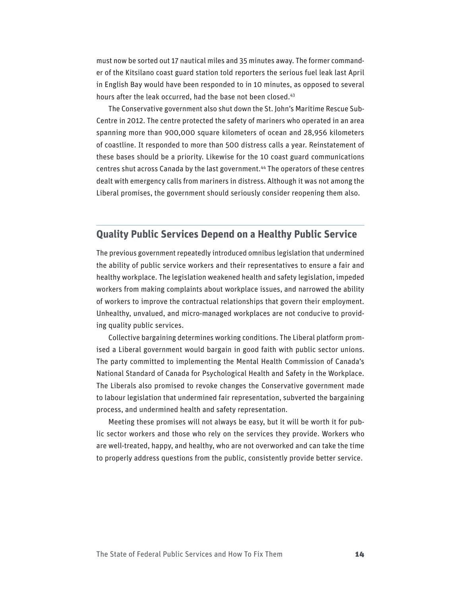must now be sorted out 17 nautical miles and 35 minutes away. The former commander of the Kitsilano coast guard station told reporters the serious fuel leak last April in English Bay would have been responded to in 10 minutes, as opposed to several hours after the leak occurred, had the base not been closed.<sup>43</sup>

The Conservative government also shut down the St. John's Maritime Rescue Sub-Centre in 2012. The centre protected the safety of mariners who operated in an area spanning more than 900,000 square kilometers of ocean and 28,956 kilometers of coastline. It responded to more than 500 distress calls a year. Reinstatement of these bases should be a priority. Likewise for the 10 coast guard communications centres shut across Canada by the last government.44 The operators of these centres dealt with emergency calls from mariners in distress. Although it was not among the Liberal promises, the government should seriously consider reopening them also.

## **Quality Public Services Depend on a Healthy Public Service**

The previous government repeatedly introduced omnibus legislation that undermined the ability of public service workers and their representatives to ensure a fair and healthy workplace. The legislation weakened health and safety legislation, impeded workers from making complaints about workplace issues, and narrowed the ability of workers to improve the contractual relationships that govern their employment. Unhealthy, unvalued, and micro-managed workplaces are not conducive to providing quality public services.

Collective bargaining determines working conditions. The Liberal platform promised a Liberal government would bargain in good faith with public sector unions. The party committed to implementing the Mental Health Commission of Canada's National Standard of Canada for Psychological Health and Safety in the Workplace. The Liberals also promised to revoke changes the Conservative government made to labour legislation that undermined fair representation, subverted the bargaining process, and undermined health and safety representation.

Meeting these promises will not always be easy, but it will be worth it for public sector workers and those who rely on the services they provide. Workers who are well-treated, happy, and healthy, who are not overworked and can take the time to properly address questions from the public, consistently provide better service.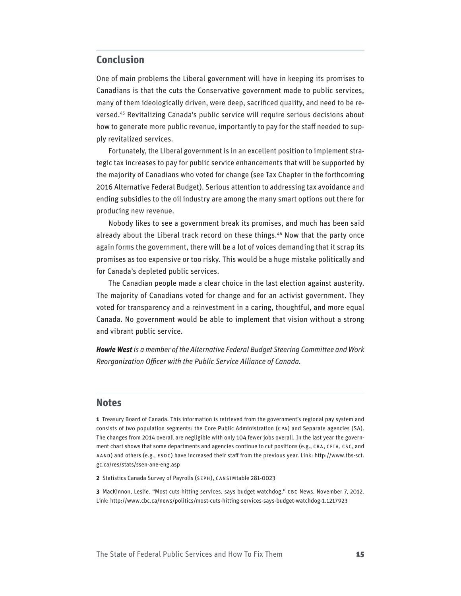## **Conclusion**

One of main problems the Liberal government will have in keeping its promises to Canadians is that the cuts the Conservative government made to public services, many of them ideologically driven, were deep, sacrificed quality, and need to be reversed.45 Revitalizing Canada's public service will require serious decisions about how to generate more public revenue, importantly to pay for the staff needed to supply revitalized services.

Fortunately, the Liberal government is in an excellent position to implement strategic tax increases to pay for public service enhancements that will be supported by the majority of Canadians who voted for change (see Tax Chapter in the forthcoming 2016 Alternative Federal Budget). Serious attention to addressing tax avoidance and ending subsidies to the oil industry are among the many smart options out there for producing new revenue.

Nobody likes to see a government break its promises, and much has been said already about the Liberal track record on these things.<sup>46</sup> Now that the party once again forms the government, there will be a lot of voices demanding that it scrap its promises as too expensive or too risky. This would be a huge mistake politically and for Canada's depleted public services.

The Canadian people made a clear choice in the last election against austerity. The majority of Canadians voted for change and for an activist government. They voted for transparency and a reinvestment in a caring, thoughtful, and more equal Canada. No government would be able to implement that vision without a strong and vibrant public service.

*Howie West is a member of the Alternative Federal Budget Steering Committee and Work Reorganization Officer with the Public Service Alliance of Canada.*

#### **Notes**

**1** Treasury Board of Canada. This information is retrieved from the government's regional pay system and consists of two population segments: the Core Public Administration (CPA) and Separate agencies (SA). The changes from 2014 overall are negligible with only 104 fewer jobs overall. In the last year the government chart shows that some departments and agencies continue to cut positions (e.g., CRA, CFIA, CSC, and AAND) and others (e.g., ESDC) have increased their staff from the previous year. Link: http://www.tbs-sct. gc.ca/res/stats/ssen-ane-eng.asp

**2** Statistics Canada Survey of Payrolls (SEPH), CANSIMtable 281-0023

**3** MacKinnon, Leslie. "Most cuts hitting services, says budget watchdog," CBC News, November 7, 2012. Link:<http://www.cbc.ca/news/politics/most-cuts-hitting-services-says-budget-watchdog-1.1217923>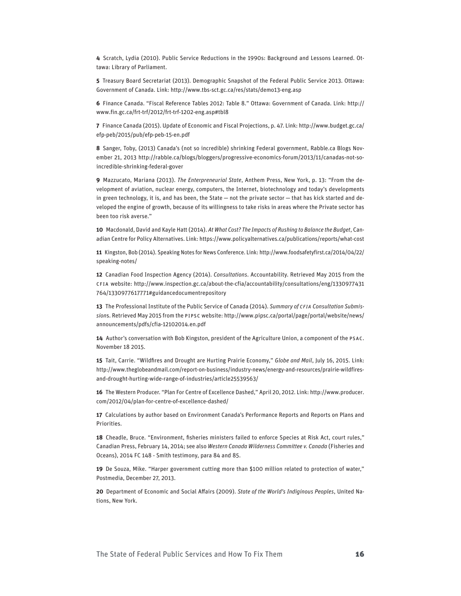**4** Scratch, Lydia (2010). Public Service Reductions in the 1990s: Background and Lessons Learned. Ottawa: Library of Parliament.

**5** Treasury Board Secretariat (2013). Demographic Snapshot of the Federal Public Service 2013. Ottawa: Government of Canada. Link: <http://www.tbs-sct.gc.ca/res/stats/demo13-eng.asp>

**6** Finance Canada. "Fiscal Reference Tables 2012: Table 8." Ottawa: Government of Canada. Link: http:// www.fin.gc.ca/frt-trf/2012/frt-trf-1202-eng.asp#tbl8

**7** Finance Canada (2015). Update of Economic and Fiscal Projections, p. 47. Link: [http://www.budget.gc.ca/](http://www.budget.gc.ca/efp-peb/2015/pub/efp-peb-15-en.pdf) [efp-peb/2015/pub/efp-peb-15-en.pdf](http://www.budget.gc.ca/efp-peb/2015/pub/efp-peb-15-en.pdf)

**8** Sanger, Toby, (2013) Canada's (not so incredible) shrinking Federal government, Rabble.ca Blogs November 21, 2013 http://rabble.ca/blogs/bloggers/progressive-economics-forum/2013/11/canadas-not-soincredible-shrinking-federal-gover

**9** Mazzucato, Mariana (2013). *The Enterpreneurial State*, Anthem Press, New York, p. 13: "From the development of aviation, nuclear energy, computers, the Internet, biotechnology and today's developments in green technology, it is, and has been, the State - not the private sector - that has kick started and developed the engine of growth, because of its willingness to take risks in areas where the Private sector has been too risk averse."

**10** Macdonald, David and Kayle Hatt (2014). *At What Cost? The Impacts of Rushing to Balance the Budget*, Canadian Centre for Policy Alternatives. Link:<https://www.policyalternatives.ca/publications/reports/what-cost>

**11** Kingston, Bob (2014). Speaking Notes for News Conference. Link: http://www.foodsafetyfirst.ca/2014/04/22/ speaking-notes/

**12** Canadian Food Inspection Agency (2014). *Consultations*. Accountability. Retrieved May 2015 from the CFIA website: http://www.inspection.gc.ca/about-the-cfia/accountability/consultations/eng/1330977431 764/1330977617771#guidancedocumentrepository

**13** The Professional Institute of the Public Service of Canada (2014). *Summary of CFIA Consultation Submission*s. Retrieved May 2015 from the PIPSC website: [http://www.pipsc.ca/portal/page/portal/website/news/](http://www.pipsc.ca/portal/page/portal/website/news/announcements/pdfs/cfia-12102014.en.pdf) [announcements/pdfs/cfia-12102014.en.pdf](http://www.pipsc.ca/portal/page/portal/website/news/announcements/pdfs/cfia-12102014.en.pdf)

**14** Author's conversation with Bob Kingston, president of the Agriculture Union, a component of the PSAC. November 18 2015.

**15** Tait, Carrie. "Wildfires and Drought are Hurting Prairie Economy," *Globe and Mail*, July 16, 2015. Link: [http://www.theglobeandmail.com/report-on-business/industry-news/energy-and-resources/prairie-wildfires](http://www.theglobeandmail.com/report-on-business/industry-news/energy-and-resources/prairie-wildfires-and-drought-hurting-wide-range-of-industries/article25539563/)[and-drought-hurting-wide-range-of-industries/article25539563/](http://www.theglobeandmail.com/report-on-business/industry-news/energy-and-resources/prairie-wildfires-and-drought-hurting-wide-range-of-industries/article25539563/)

**16** The Western Producer. "Plan For Centre of Excellence Dashed," April 20, 2012. Link: [http://www.producer.](http://www.producer.com/2012/04/plan-for-centre-of-excellence-dashed/) [com/2012/04/plan-for-centre-of-excellence-dashed/](http://www.producer.com/2012/04/plan-for-centre-of-excellence-dashed/)

**17** Calculations by author based on Environment Canada's Performance Reports and Reports on Plans and Priorities.

**18** Cheadle, Bruce. "Environment, fisheries ministers failed to enforce Species at Risk Act, court rules," Canadian Press, February 14, 2014; see also *Western Canada Wilderness Committee v. Canada* (Fisheries and Oceans), 2014 FC 148 - Smith testimony, para 84 and 85.

**19** De Souza, Mike. "Harper government cutting more than \$100 million related to protection of water," Postmedia, December 27, 2013.

**20** Department of Economic and Social Affairs (2009). *State of the World's Indiginous Peoples*, United Nations, New York.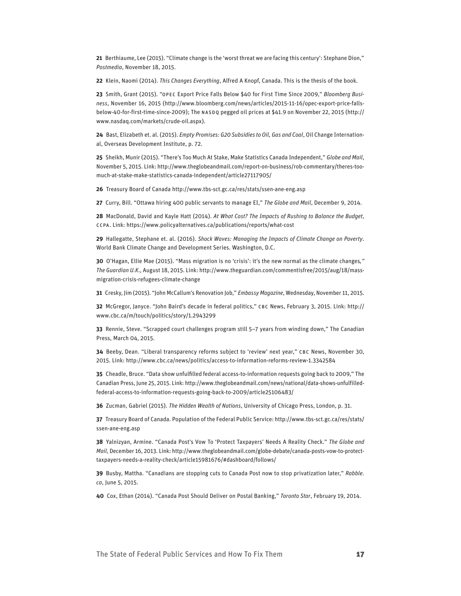**21** Berthiaume, Lee (2015). "Climate change is the 'worst threat we are facing this century': Stephane Dion," *Postmedia*, November 18, 2015.

**22** Klein, Naomi (2014). *This Changes Everything*, Alfred A Knopf, Canada. This is the thesis of the book.

**23** Smith, Grant (2015). "OPEC Export Price Falls Below \$40 for First Time Since 2009," *Bloomberg Business*, November 16, 2015 [\(http://www.bloomberg.com/news/articles/2015-11-16/opec-export-price-falls](http://www.bloomberg.com/news/articles/2015-11-16/opec-export-price-falls-below-40-for-first-time-since-2009)[below-40-for-first-time-since-2009\)](http://www.bloomberg.com/news/articles/2015-11-16/opec-export-price-falls-below-40-for-first-time-since-2009); The NASDQ pegged oil prices at \$41.9 on November 22, 2015 ([http://](http://www.nasdaq.com/markets/crude-oil.aspx) [www.nasdaq.com/markets/crude-oil.aspx\)](http://www.nasdaq.com/markets/crude-oil.aspx).

**24** Bast, Elizabeth et. al. (2015). *Empty Promises: G20 Subsidies to Oil, Gas and Coal*, Oil Change International, Overseas Development Institute, p. 72.

**25** Sheikh, Munir (2015). "There's Too Much At Stake, Make Statistics Canada Independent," *Globe and Mail*, November 5, 2015. Link: [http://www.theglobeandmail.com/report-on-business/rob-commentary/theres-too](http://www.theglobeandmail.com/report-on-business/rob-commentary/theres-too-much-at-stake-make-statistics-canada-independent/article27117905/)[much-at-stake-make-statistics-canada-independent/article27117905/](http://www.theglobeandmail.com/report-on-business/rob-commentary/theres-too-much-at-stake-make-statistics-canada-independent/article27117905/)

**26** Treasury Board of Canada <http://www.tbs-sct.gc.ca/res/stats/ssen-ane-eng.asp>

**27** Curry, Bill. "Ottawa hiring 400 public servants to manage EI," *The Globe and Mail*, December 9, 2014.

**28** MacDonald, David and Kayle Hatt (2014). *At What Cost? The Impacts of Rushing to Balance the Budget*, CCPA. Link:<https://www.policyalternatives.ca/publications/reports/what-cost>

**29** Hallegatte, Stephane et. al. (2016). *Shock Waves: Managing the Impacts of Climate Change on Poverty*. World Bank Climate Change and Development Series. Washington, D.C.

**30** O'Hagan, Ellie Mae (2015). "Mass migration is no 'crisis': it's the new normal as the climate changes*," The Guardian U.K.,* August 18, 2015. Link: [http://www.theguardian.com/commentisfree/2015/aug/18/mass](http://www.theguardian.com/commentisfree/2015/aug/18/mass-migration-crisis-refugees-climate-change)[migration-crisis-refugees-climate-change](http://www.theguardian.com/commentisfree/2015/aug/18/mass-migration-crisis-refugees-climate-change)

**31** Cresky, Jim (2015). "John McCallum's Renovation Job," *Embassy Magazine*, Wednesday, November 11, 2015.

**32** McGregor, Janyce. "John Baird's decade in federal politics," CBC News, February 3, 2015. Link: [http://](http://www.cbc.ca/m/touch/politics/story/1.2943299) [www.cbc.ca/m/touch/politics/story/1.2943299](http://www.cbc.ca/m/touch/politics/story/1.2943299)

**33** Rennie, Steve. "Scrapped court challenges program still 5–7 years from winding down," The Canadian Press, March 04, 2015.

**34** Beeby, Dean. "Liberal transparency reforms subject to 'review' next year," CBC News, November 30, 2015. Link:<http://www.cbc.ca/news/politics/access-to-information-reforms-review-1.3342584>

**35** Cheadle, Bruce. "Data show unfulfilled federal access-to-information requests going back to 2009," The Canadian Press, June 25, 2015. Link: [http://www.theglobeandmail.com/news/national/data-shows-unfulfilled](http://www.theglobeandmail.com/news/national/data-shows-unfulfilled-federal-access-to-information-requests-going-back-to-2009/article25106483/)[federal-access-to-information-requests-going-back-to-2009/article25106483/](http://www.theglobeandmail.com/news/national/data-shows-unfulfilled-federal-access-to-information-requests-going-back-to-2009/article25106483/)

**36** Zucman, Gabriel (2015). *The Hidden Wealth of Nations*, University of Chicago Press, London, p. 31.

**37** Treasury Board of Canada. Population of the Federal Public Service: [http://www.tbs-sct.gc.ca/res/stats/](http://www.tbs-sct.gc.ca/res/stats/ssen-ane-eng.asp) [ssen-ane-eng.asp](http://www.tbs-sct.gc.ca/res/stats/ssen-ane-eng.asp)

**38** Yalnizyan, Armine. "Canada Post's Vow To 'Protect Taxpayers' Needs A Reality Check." *The Globe and Mail*, December 16, 2013. Link: http://www.theglobeandmail.com/globe-debate/canada-posts-vow-to-protecttaxpayers-needs-a-reality-check/article15981676/#dashboard/follows/

**39** Busby, Mattha. "Canadians are stopping cuts to Canada Post now to stop privatization later," *Rabble. ca*, June 5, 2015.

**40** Cox, Ethan (2014). "Canada Post Should Deliver on Postal Banking," *Toronto Star*, February 19, 2014.